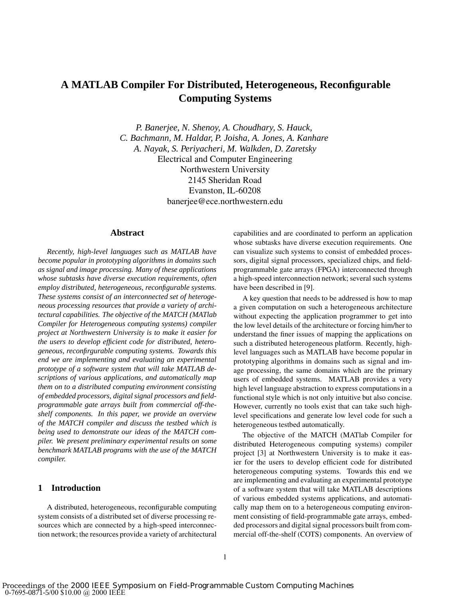# **A MATLAB Compiler For Distributed, Heterogeneous, Reconfigurable Computing Systems**

*P. Banerjee, N. Shenoy, A. Choudhary, S. Hauck, C. Bachmann, M. Haldar, P. Joisha, A. Jones, A. Kanhare A. Nayak, S. Periyacheri, M. Walkden, D. Zaretsky* Electrical and Computer Engineering Northwestern University 2145 Sheridan Road Evanston, IL-60208 banerjee@ece.northwestern.edu

#### **Abstract**

*Recently, high-level languages such as MATLAB have become popular in prototyping algorithms in domains such as signal and image processing. Many of these applications whose subtasks have diverse execution requirements, often employ distributed, heterogeneous, reconfigurable systems. These systems consist of an interconnected set of heterogeneous processing resources that provide a variety of architectural capabilities. The objective of the MATCH (MATlab Compiler for Heterogeneous computing systems) compiler project at Northwestern University is to make it easier for the users to develop efficient code for distributed, heterogeneous, reconfirgurable computing systems. Towards this end we are implementing and evaluating an experimental prototype of a software system that will take MATLAB descriptions of various applications, and automatically map them on to a distributed computing environment consisting of embedded processors, digital signal processors and fieldprogrammable gate arrays built from commercial off-theshelf components. In this paper, we provide an overview of the MATCH compiler and discuss the testbed which is being used to demonstrate our ideas of the MATCH compiler. We present preliminary experimental results on some benchmark MATLAB programs with the use of the MATCH compiler.*

# **1 Introduction**

A distributed, heterogeneous, reconfigurable computing system consists of a distributed set of diverse processing resources which are connected by a high-speed interconnection network; the resources provide a variety of architectural capabilities and are coordinated to perform an application whose subtasks have diverse execution requirements. One can visualize such systems to consist of embedded processors, digital signal processors, specialized chips, and fieldprogrammable gate arrays (FPGA) interconnected through a high-speed interconnection network; several such systems have been described in [9].

A key question that needs to be addressed is how to map a given computation on such a heterogeneous architecture without expecting the application programmer to get into the low level details of the architecture or forcing him/her to understand the finer issues of mapping the applications on such a distributed heterogeneous platform. Recently, highlevel languages such as MATLAB have become popular in prototyping algorithms in domains such as signal and image processing, the same domains which are the primary users of embedded systems. MATLAB provides a very high level language abstraction to express computations in a functional style which is not only intuitive but also concise. However, currently no tools exist that can take such highlevel specifications and generate low level code for such a heterogeneous testbed automatically.

The objective of the MATCH (MATlab Compiler for distributed Heterogeneous computing systems) compiler project [3] at Northwestern University is to make it easier for the users to develop efficient code for distributed heterogeneous computing systems. Towards this end we are implementing and evaluating an experimental prototype of a software system that will take MATLAB descriptions of various embedded systems applications, and automatically map them on to a heterogeneous computing environment consisting of field-programmable gate arrays, embedded processors and digital signal processors built from commercial off-the-shelf (COTS) components. An overview of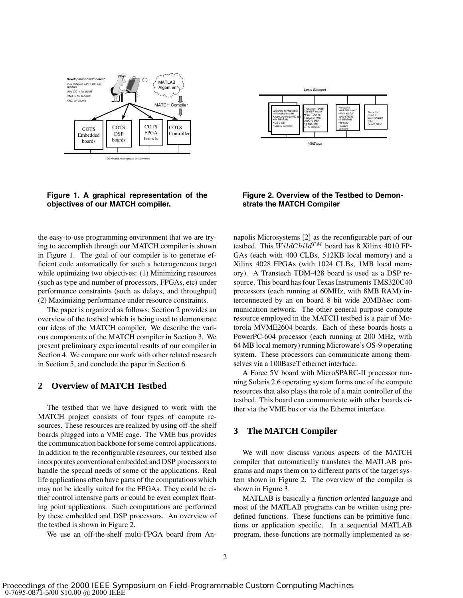

**Figure 1. A graphical representation of the objectives of our MATCH compiler.**

the easy-to-use programming environment that we are trying to accomplish through our MATCH compiler is shown in Figure 1. The goal of our compiler is to generate efficient code automatically for such a heterogeneous target while optimizing two objectives: (1) Minimizing resources (such as type and number of processors, FPGAs, etc) under performance constraints (such as delays, and throughput) (2) Maximizing performance under resource constraints.

The paper is organized as follows. Section 2 provides an overview of the testbed which is being used to demonstrate our ideas of the MATCH compiler. We describe the various components of the MATCH compiler in Section 3. We present preliminary experimental results of our compiler in Section 4. We compare our work with other related research in Section 5, and conclude the paper in Section 6.

# **2 Overview of MATCH Testbed**

The testbed that we have designed to work with the MATCH project consists of four types of compute resources. These resources are realized by using off-the-shelf boards plugged into a VME cage. The VME bus provides the communication backbone for some control applications. In addition to the reconfigurable resources, our testbed also incorporates conventional embedded and DSP processors to handle the special needs of some of the applications. Real life applications often have parts of the computations which may not be ideally suited for the FPGAs. They could be either control intensive parts or could be even complex floating point applications. Such computations are performed by these embedded and DSP processors. An overview of the testbed is shown in Figure 2.

We use an off-the-shelf multi-FPGA board from An-



**Figure 2. Overview of the Testbed to Demonstrate the MATCH Compiler**

napolis Microsystems [2] as the reconfigurable part of our testbed. This  $W$ *ildChild<sup>TM</sup>* board has 8 Xilinx 4010 FP-GAs (each with 400 CLBs, 512KB local memory) and a Xilinx 4028 FPGAs (with 1024 CLBs, 1MB local memory). A Transtech TDM-428 board is used as a DSP resource. This board has four Texas Instruments TMS320C40 processors (each running at 60MHz, with 8MB RAM) interconnected by an on board 8 bit wide 20MB/sec communication network. The other general purpose compute resource employed in the MATCH testbed is a pair of Motorola MVME2604 boards. Each of these boards hosts a PowerPC-604 processor (each running at 200 MHz, with 64 MB local memory) running Microware's OS-9 operating system. These processors can communicate among themselves via a 100BaseT ethernet interface.

A Force 5V board with MicroSPARC-II processor running Solaris 2.6 operating system forms one of the compute resources that also plays the role of a main controller of the testbed. This board can communicate with other boards either via the VME bus or via the Ethernet interface.

### **3 The MATCH Compiler**

We will now discuss various aspects of the MATCH compiler that automatically translates the MATLAB programs and maps them on to different parts of the target system shown in Figure 2. The overview of the compiler is shown in Figure 3.

MATLAB is basically a *function oriented* language and most of the MATLAB programs can be written using predefined functions. These functions can be primitive functions or application specific. In a sequential MATLAB program, these functions are normally implemented as se-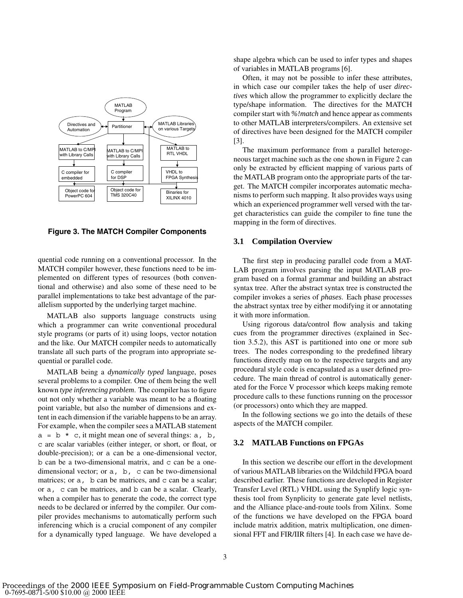

**Figure 3. The MATCH Compiler Components**

quential code running on a conventional processor. In the MATCH compiler however, these functions need to be implemented on different types of resources (both conventional and otherwise) and also some of these need to be parallel implementations to take best advantage of the parallelism supported by the underlying target machine.

MATLAB also supports language constructs using which a programmer can write conventional procedural style programs (or parts of it) using loops, vector notation and the like. Our MATCH compiler needs to automatically translate all such parts of the program into appropriate sequential or parallel code.

MATLAB being a *dynamically typed* language, poses several problems to a compiler. One of them being the well known *type inferencing problem*. The compiler has to figure out not only whether a variable was meant to be a floating point variable, but also the number of dimensions and extent in each dimension if the variable happens to be an array. For example, when the compiler sees a MATLAB statement  $a = b * c$ , it might mean one of several things:  $a, b$ , c are scalar variables (either integer, or short, or float, or double-precision); or a can be a one-dimensional vector, b can be a two-dimensional matrix, and c can be a onedimensional vector; or a, b, c can be two-dimensional matrices; or  $a$ , b can be matrices, and c can be a scalar; or a, c can be matrices, and b can be a scalar. Clearly, when a compiler has to generate the code, the correct type needs to be declared or inferred by the compiler. Our compiler provides mechanisms to automatically perform such inferencing which is a crucial component of any compiler for a dynamically typed language. We have developed a

shape algebra which can be used to infer types and shapes of variables in MATLAB programs [6].

Often, it may not be possible to infer these attributes, in which case our compiler takes the help of user *directives* which allow the programmer to explicitly declare the type/shape information. The directives for the MATCH compiler start with *%!match* and hence appear as comments to other MATLAB interpreters/compilers. An extensive set of directives have been designed for the MATCH compiler [3].

The maximum performance from a parallel heterogeneous target machine such as the one shown in Figure 2 can only be extracted by efficient mapping of various parts of the MATLAB program onto the appropriate parts of the target. The MATCH compiler incorporates automatic mechanisms to perform such mapping. It also provides ways using which an experienced programmer well versed with the target characteristics can guide the compiler to fine tune the mapping in the form of directives.

#### **3.1 Compilation Overview**

The first step in producing parallel code from a MAT-LAB program involves parsing the input MATLAB program based on a formal grammar and building an abstract syntax tree. After the abstract syntax tree is constructed the compiler invokes a series of *phases*. Each phase processes the abstract syntax tree by either modifying it or annotating it with more information.

Using rigorous data/control flow analysis and taking cues from the programmer directives (explained in Section 3.5.2), this AST is partitioned into one or more sub trees. The nodes corresponding to the predefined library functions directly map on to the respective targets and any procedural style code is encapsulated as a user defined procedure. The main thread of control is automatically generated for the Force V processor which keeps making remote procedure calls to these functions running on the processor (or processors) onto which they are mapped.

In the following sections we go into the details of these aspects of the MATCH compiler.

#### **3.2 MATLAB Functions on FPGAs**

In this section we describe our effort in the development of various MATLAB libraries on the Wildchild FPGA board described earlier. These functions are developed in Register Transfer Level (RTL) VHDL using the Synplify logic synthesis tool from Synplicity to generate gate level netlists, and the Alliance place-and-route tools from Xilinx. Some of the functions we have developed on the FPGA board include matrix addition, matrix multiplication, one dimensional FFT and FIR/IIR filters [4]. In each case we have de-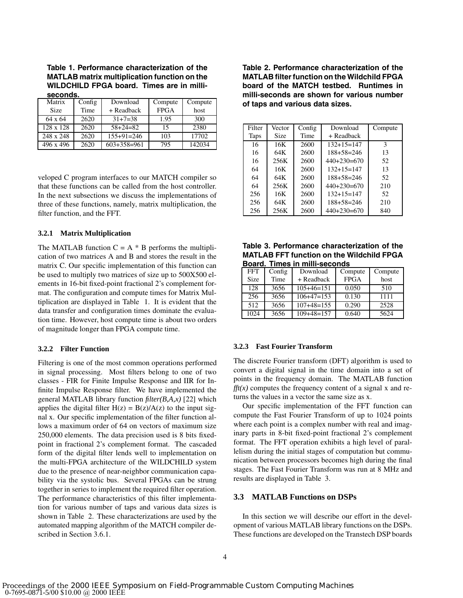| Table 1. Performance characterization of the        |
|-----------------------------------------------------|
| <b>MATLAB matrix multiplication function on the</b> |
| WILDCHILD FPGA board. Times are in milli-           |
| seconds.                                            |

| Matrix    | Config | Download       | Compute     | Compute |
|-----------|--------|----------------|-------------|---------|
| Size      | Time   | + Readback     | <b>FPGA</b> | host    |
| 64 x 64   | 2620   | $31 + 7 = 38$  | 1.95        | 300     |
| 128 x 128 | 2620   | $58 + 24 = 82$ | 15          | 2380    |
| 248 x 248 | 2620   | $155+91=246$   | 103         | 17702   |
| 496 x 496 | 2620   | $603+358=961$  | 795         | 142034  |

veloped C program interfaces to our MATCH compiler so that these functions can be called from the host controller. In the next subsections we discuss the implementations of three of these functions, namely, matrix multiplication, the filter function, and the FFT.

#### **3.2.1 Matrix Multiplication**

The MATLAB function  $C = A * B$  performs the multiplication of two matrices A and B and stores the result in the matrix C. Our specific implementation of this function can be used to multiply two matrices of size up to 500X500 elements in 16-bit fixed-point fractional 2's complement format. The configuration and compute times for Matrix Multiplication are displayed in Table 1. It is evident that the data transfer and configuration times dominate the evaluation time. However, host compute time is about two orders of magnitude longer than FPGA compute time.

#### **3.2.2 Filter Function**

Filtering is one of the most common operations performed in signal processing. Most filters belong to one of two classes - FIR for Finite Impulse Response and IIR for Infinite Impulse Response filter. We have implemented the general MATLAB library function *filter(B,A,x)* [22] which applies the digital filter  $H(z) = B(z)/A(z)$  to the input signal x. Our specific implementation of the filter function allows a maximum order of 64 on vectors of maximum size 250,000 elements. The data precision used is 8 bits fixedpoint in fractional 2's complement format. The cascaded form of the digital filter lends well to implementation on the multi-FPGA architecture of the WILDCHILD system due to the presence of near-neighbor communication capability via the systolic bus. Several FPGAs can be strung together in series to implement the required filter operation. The performance characteristics of this filter implementation for various number of taps and various data sizes is shown in Table 2. These characterizations are used by the automated mapping algorithm of the MATCH compiler described in Section 3.6.1.

**Table 2. Performance characterization of the MATLAB filter function on the Wildchild FPGA board of the MATCH testbed. Runtimes in milli-seconds are shown for various number of taps and various data sizes.**

| Filter | Vector | Config | Download         | Compute |
|--------|--------|--------|------------------|---------|
| Taps   | Size   | Time   | + Readback       |         |
| 16     | 16K    | 2600   | $132+15=147$     | 3       |
| 16     | 64K    | 2600   | $188 + 58 = 246$ | 13      |
| 16     | 256K   | 2600   | $440+230=670$    | 52      |
| 64     | 16K    | 2600   | $132+15=147$     | 13      |
| 64     | 64K    | 2600   | 188+58=246       | 52      |
| 64     | 256K   | 2600   | $440+230=670$    | 210     |
| 256    | 16K    | 2600   | $132+15=147$     | 52      |
| 256    | 64K    | 2600   | 188+58=246       | 210     |
| 256    | 256K   | 2600   | $440+230=670$    | 840     |
|        |        |        |                  |         |

| Table 3. Performance characterization of the     |  |
|--------------------------------------------------|--|
| <b>MATLAB FFT function on the Wildchild FPGA</b> |  |
| Board. Times in milli-seconds                    |  |

| <b>FFT</b> | Config | Download         | Compute     | Compute |
|------------|--------|------------------|-------------|---------|
| Size       | Time   | + Readback       | <b>FPGA</b> | host    |
| 128        | 3656   | $105+46=151$     | 0.050       | 510     |
| 256        | 3656   | $106+47=153$     | 0.130       | 1111    |
| 512        | 3656   | $107+48=155$     | 0.290       | 2528    |
| 1024       | 3656   | $109 + 48 = 157$ | 0.640       | 5624    |

#### **3.2.3 Fast Fourier Transform**

The discrete Fourier transform (DFT) algorithm is used to convert a digital signal in the time domain into a set of points in the frequency domain. The MATLAB function *fft(x)* computes the frequency content of a signal x and returns the values in a vector the same size as x.

Our specific implementation of the FFT function can compute the Fast Fourier Transform of up to 1024 points where each point is a complex number with real and imaginary parts in 8-bit fixed-point fractional 2's complement format. The FFT operation exhibits a high level of parallelism during the initial stages of computation but communication between processors becomes high during the final stages. The Fast Fourier Transform was run at 8 MHz and results are displayed in Table 3.

# **3.3 MATLAB Functions on DSPs**

In this section we will describe our effort in the development of various MATLAB library functions on the DSPs. These functions are developed on the Transtech DSP boards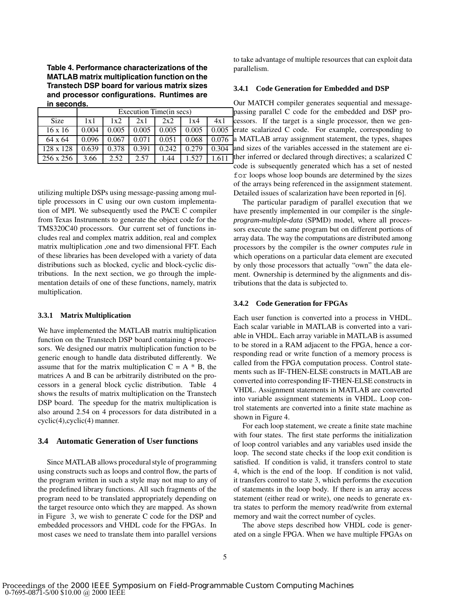**Table 4. Performance characterizations of the MATLAB matrix multiplication function on the Transtech DSP board for various matrix sizes and processor configurations. Runtimes are in seconds.**

|                  | Execution Time(in secs) |       |       |       |       |       |
|------------------|-------------------------|-------|-------|-------|-------|-------|
| Size             | 1x1                     | 1x2   | 2x1   | 2x2   | 1x4   | 4x1   |
| $16 \times 16$   | 0.004                   | 0.005 | 0.005 | 0.005 | 0.005 | 0.005 |
| 64 x 64          | 0.096                   | 0.067 | 0.071 | 0.051 | 0.068 | 0.076 |
| $128 \times 128$ | 0.639                   | 0.378 | 0.391 | 0.242 | 0.279 | 0.304 |
| 256 x 256        | 3.66                    | 2.52  | 2.57  | 1.44  |       |       |

utilizing multiple DSPs using message-passing among multiple processors in C using our own custom implementation of MPI. We subsequently used the PACE C compiler from Texas Instruments to generate the object code for the TMS320C40 processors. Our current set of functions includes real and complex matrix addition, real and complex matrix multiplication ,one and two dimensional FFT. Each of these libraries has been developed with a variety of data distributions such as blocked, cyclic and block-cyclic distributions. In the next section, we go through the implementation details of one of these functions, namely, matrix multiplication.

#### **3.3.1 Matrix Multiplication**

We have implemented the MATLAB matrix multiplication function on the Transtech DSP board containing 4 processors. We designed our matrix multiplication function to be generic enough to handle data distributed differently. We assume that for the matrix multiplication  $C = A * B$ , the matrices A and B can be arbitrarily distributed on the processors in a general block cyclic distribution. Table 4 shows the results of matrix multiplication on the Transtech DSP board. The speedup for the matrix multiplication is also around 2.54 on 4 processors for data distributed in a cyclic(4),cyclic(4) manner.

#### **3.4 Automatic Generation of User functions**

Since MATLAB allows procedural style of programming using constructs such as loops and control flow, the parts of the program written in such a style may not map to any of the predefined library functions. All such fragments of the program need to be translated appropriately depending on the target resource onto which they are mapped. As shown in Figure 3, we wish to generate C code for the DSP and embedded processors and VHDL code for the FPGAs. In most cases we need to translate them into parallel versions to take advantage of multiple resources that can exploit data parallelism.

#### **3.4.1 Code Generation for Embedded and DSP**

Our MATCH compiler generates sequential and messagepassing parallel C code for the embedded and DSP processors. If the target is a single processor, then we generate scalarized C code. For example, corresponding to a MATLAB array assignment statement, the types, shapes and sizes of the variables accessed in the statement are either inferred or declared through directives; a scalarized C code is subsequently generated which has a set of nested for loops whose loop bounds are determined by the sizes of the arrays being referenced in the assignment statement. Detailed issues of scalarization have been reported in [6].

The particular paradigm of parallel execution that we have presently implemented in our compiler is the *singleprogram-multiple-data* (SPMD) model, where all processors execute the same program but on different portions of array data. The way the computations are distributed among processors by the compiler is the *owner computes rule* in which operations on a particular data element are executed by only those processors that actually "own" the data element. Ownership is determined by the alignments and distributions that the data is subjected to.

### **3.4.2 Code Generation for FPGAs**

Each user function is converted into a process in VHDL. Each scalar variable in MATLAB is converted into a variable in VHDL. Each array variable in MATLAB is assumed to be stored in a RAM adjacent to the FPGA, hence a corresponding read or write function of a memory process is called from the FPGA computation process. Control statements such as IF-THEN-ELSE constructs in MATLAB are converted into corresponding IF-THEN-ELSE constructs in VHDL. Assignment statements in MATLAB are converted into variable assignment statements in VHDL. Loop control statements are converted into a finite state machine as shown in Figure 4.

For each loop statement, we create a finite state machine with four states. The first state performs the initialization of loop control variables and any variables used inside the loop. The second state checks if the loop exit condition is satisfied. If condition is valid, it transfers control to state 4, which is the end of the loop. If condition is not valid, it transfers control to state 3, which performs the execution of statements in the loop body. If there is an array access statement (either read or write), one needs to generate extra states to perform the memory read/write from external memory and wait the correct number of cycles.

The above steps described how VHDL code is generated on a single FPGA. When we have multiple FPGAs on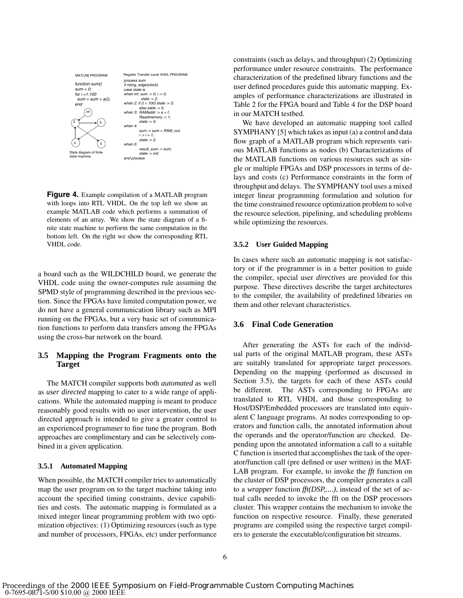

**Figure 4.** Example compilation of a MATLAB program with loops into RTL VHDL. On the top left we show an example MATLAB code which performs a summation of elements of an array. We show the state diagram of a finite state machine to perform the same computation in the bottom left. On the right we show the corresponding RTL VHDL code.

a board such as the WILDCHILD board, we generate the VHDL code using the owner-computes rule assuming the SPMD style of programming described in the previous section. Since the FPGAs have limited computation power, we do not have a general communication library such as MPI running on the FPGAs, but a very basic set of communication functions to perform data transfers among the FPGAs using the cross-bar network on the board.

# **3.5 Mapping the Program Fragments onto the Target**

The MATCH compiler supports both *automated* as well as *user directed* mapping to cater to a wide range of applications. While the automated mapping is meant to produce reasonably good results with no user intervention, the user directed approach is intended to give a greater control to an experienced programmer to fine tune the program. Both approaches are complimentary and can be selectively combined in a given application.

#### **3.5.1 Automated Mapping**

When possible, the MATCH compiler tries to automatically map the user program on to the target machine taking into account the specified timing constraints, device capabilities and costs. The automatic mapping is formulated as a mixed integer linear programming problem with two optimization objectives: (1) Optimizing resources (such as type and number of processors, FPGAs, etc) under performance constraints (such as delays, and throughput) (2) Optimizing performance under resource constraints. The performance characterization of the predefined library functions and the user defined procedures guide this automatic mapping. Examples of performance characterizations are illustrated in Table 2 for the FPGA board and Table 4 for the DSP board in our MATCH testbed.

We have developed an automatic mapping tool called SYMPHANY [5] which takes as input (a) a control and data flow graph of a MATLAB program which represents various MATLAB functions as nodes (b) Characterizations of the MATLAB functions on various resources such as single or multiple FPGAs and DSP processors in terms of delays and costs (c) Performance constraints in the form of throughput and delays. The SYMPHANY tool uses a mixed integer linear programming formulation and solution for the time constrained resource optimization problem to solve the resource selection, pipelining, and scheduling problems while optimizing the resources.

#### **3.5.2 User Guided Mapping**

In cases where such an automatic mapping is not satisfactory or if the programmer is in a better position to guide the compiler, special user *directives* are provided for this purpose. These directives describe the target architectures to the compiler, the availability of predefined libraries on them and other relevant characteristics.

### **3.6 Final Code Generation**

After generating the ASTs for each of the individual parts of the original MATLAB program, these ASTs are suitably translated for appropriate target processors. Depending on the mapping (performed as discussed in Section 3.5), the targets for each of these ASTs could be different. The ASTs corresponding to FPGAs are translated to RTL VHDL and those corresponding to Host/DSP/Embedded processors are translated into equivalent C language programs. At nodes corresponding to operators and function calls, the annotated information about the operands and the operator/function are checked. Depending upon the annotated information a call to a suitable C function is inserted that accomplishes the task of the operator/function call (pre defined or user written) in the MAT-LAB program. For example, to invoke the *fft* function on the cluster of DSP processors, the compiler generates a call to a *wrapper* function *fft(DSP,....)*, instead of the set of actual calls needed to invoke the fft on the DSP processors cluster. This wrapper contains the mechanism to invoke the function on respective resource. Finally, these generated programs are compiled using the respective target compilers to generate the executable/configuration bit streams.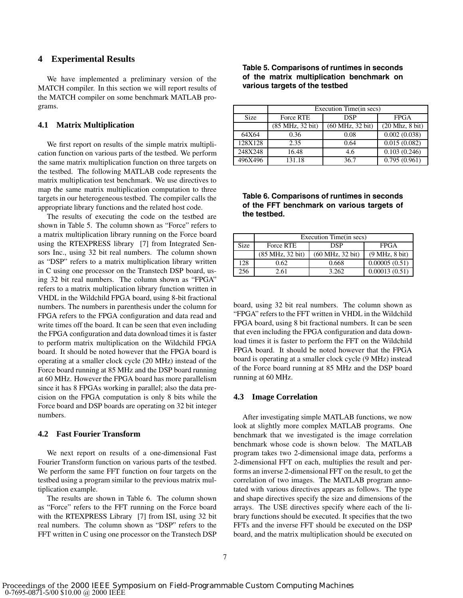### **4 Experimental Results**

We have implemented a preliminary version of the MATCH compiler. In this section we will report results of the MATCH compiler on some benchmark MATLAB programs.

### **4.1 Matrix Multiplication**

We first report on results of the simple matrix multiplication function on various parts of the testbed. We perform the same matrix multiplication function on three targets on the testbed. The following MATLAB code represents the matrix multiplication test benchmark. We use directives to map the same matrix multiplication computation to three targets in our heterogeneous testbed. The compiler calls the appropriate library functions and the related host code.

The results of executing the code on the testbed are shown in Table 5. The column shown as "Force" refers to a matrix multiplication library running on the Force board using the RTEXPRESS library [7] from Integrated Sensors Inc., using 32 bit real numbers. The column shown as "DSP" refers to a matrix multiplication library written in C using one processor on the Transtech DSP board, using 32 bit real numbers. The column shown as "FPGA" refers to a matrix multiplication library function written in VHDL in the Wildchild FPGA board, using 8-bit fractional numbers. The numbers in parenthesis under the column for FPGA refers to the FPGA configuration and data read and write times off the board. It can be seen that even including the FPGA configuration and data download times it is faster to perform matrix multiplication on the Wildchild FPGA board. It should be noted however that the FPGA board is operating at a smaller clock cycle (20 MHz) instead of the Force board running at 85 MHz and the DSP board running at 60 MHz. However the FPGA board has more parallelism since it has 8 FPGAs working in parallel; also the data precision on the FPGA computation is only 8 bits while the Force board and DSP boards are operating on 32 bit integer numbers.

#### **4.2 Fast Fourier Transform**

We next report on results of a one-dimensional Fast Fourier Transform function on various parts of the testbed. We perform the same FFT function on four targets on the testbed using a program similar to the previous matrix multiplication example.

The results are shown in Table 6. The column shown as "Force" refers to the FFT running on the Force board with the RTEXPRESS Library [7] from ISI, using 32 bit real numbers. The column shown as "DSP" refers to the FFT written in C using one processor on the Transtech DSP

# **Table 5. Comparisons of runtimes in seconds of the matrix multiplication benchmark on various targets of the testbed**

|             | Execution Time(in secs) |                                    |                                   |  |
|-------------|-------------------------|------------------------------------|-----------------------------------|--|
| <b>Size</b> | Force RTE               | <b>DSP</b>                         | <b>FPGA</b>                       |  |
|             | (85 MHz, 32 bit)        | $(60 \text{ MHz}, 32 \text{ bit})$ | $(20 \text{ Mhz}, 8 \text{ bit})$ |  |
| 64X64       | 0.36                    | 0.08                               | 0.002(0.038)                      |  |
| 128X128     | 2.35                    | 0.64                               | 0.015(0.082)                      |  |
| 248X248     | 16.48                   | 4.6                                | 0.103(0.246)                      |  |
| 496X496     | 131.18                  | 36.7                               | 0.795(0.961)                      |  |

### **Table 6. Comparisons of runtimes in seconds of the FFT benchmark on various targets of the testbed.**

|      | Execution Time(in secs) |                                    |                |  |
|------|-------------------------|------------------------------------|----------------|--|
| Size | Force RTE               | <b>DSP</b>                         | <b>FPGA</b>    |  |
|      | (85 MHz, 32 bit)        | $(60 \text{ MHz}, 32 \text{ bit})$ | (9 MHz, 8 bit) |  |
| 128  | 0.62                    | 0.668                              | 0.00005(0.51)  |  |
| 256  | 2.61                    | 3.262                              | 0.00013(0.51)  |  |

board, using 32 bit real numbers. The column shown as "FPGA" refers to the FFT written in VHDL in the Wildchild FPGA board, using 8 bit fractional numbers. It can be seen that even including the FPGA configuration and data download times it is faster to perform the FFT on the Wildchild FPGA board. It should be noted however that the FPGA board is operating at a smaller clock cycle (9 MHz) instead of the Force board running at 85 MHz and the DSP board running at 60 MHz.

### **4.3 Image Correlation**

After investigating simple MATLAB functions, we now look at slightly more complex MATLAB programs. One benchmark that we investigated is the image correlation benchmark whose code is shown below. The MATLAB program takes two 2-dimensional image data, performs a 2-dimensional FFT on each, multiplies the result and performs an inverse 2-dimensional FFT on the result, to get the correlation of two images. The MATLAB program annotated with various directives appears as follows. The type and shape directives specify the size and dimensions of the arrays. The USE directives specify where each of the library functions should be executed. It specifies that the two FFTs and the inverse FFT should be executed on the DSP board, and the matrix multiplication should be executed on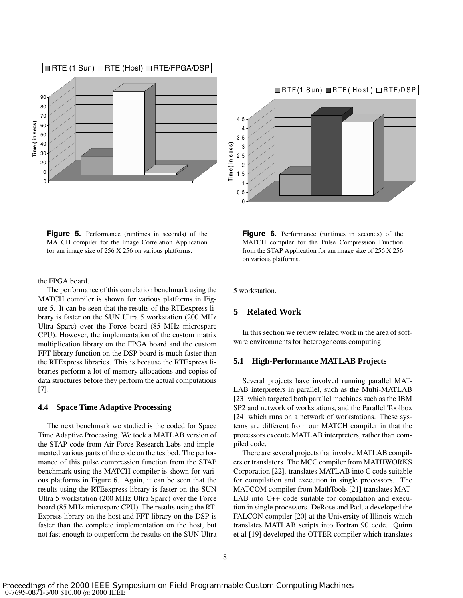



**Figure 5.** Performance (runtimes in seconds) of the MATCH compiler for the Image Correlation Application for am image size of 256 X 256 on various platforms.

the FPGA board.

The performance of this correlation benchmark using the MATCH compiler is shown for various platforms in Figure 5. It can be seen that the results of the RTEexpress library is faster on the SUN Ultra 5 workstation (200 MHz Ultra Sparc) over the Force board (85 MHz microsparc CPU). However, the implementation of the custom matrix multiplication library on the FPGA board and the custom FFT library function on the DSP board is much faster than the RTExpress libraries. This is because the RTExpress libraries perform a lot of memory allocations and copies of data structures before they perform the actual computations [7].

# **4.4 Space Time Adaptive Processing**

The next benchmark we studied is the coded for Space Time Adaptive Processing. We took a MATLAB version of the STAP code from Air Force Research Labs and implemented various parts of the code on the testbed. The performance of this pulse compression function from the STAP benchmark using the MATCH compiler is shown for various platforms in Figure 6. Again, it can be seen that the results using the RTEexpress library is faster on the SUN Ultra 5 workstation (200 MHz Ultra Sparc) over the Force board (85 MHz microsparc CPU). The results using the RT-Express library on the host and FFT library on the DSP is faster than the complete implementation on the host, but not fast enough to outperform the results on the SUN Ultra

**Figure 6.** Performance (runtimes in seconds) of the MATCH compiler for the Pulse Compression Function from the STAP Application for am image size of 256 X 256 on various platforms.

5 workstation.

# **5 Related Work**

In this section we review related work in the area of software environments for heterogeneous computing.

#### **5.1 High-Performance MATLAB Projects**

Several projects have involved running parallel MAT-LAB interpreters in parallel, such as the Multi-MATLAB [23] which targeted both parallel machines such as the IBM SP2 and network of workstations, and the Parallel Toolbox [24] which runs on a network of workstations. These systems are different from our MATCH compiler in that the processors execute MATLAB interpreters, rather than compiled code.

There are several projects that involve MATLAB compilers or translators. The MCC compiler from MATHWORKS Corporation [22]. translates MATLAB into C code suitable for compilation and execution in single processors. The MATCOM compiler from MathTools [21] translates MAT-LAB into C++ code suitable for compilation and execution in single processors. DeRose and Padua developed the FALCON compiler [20] at the University of Illinois which translates MATLAB scripts into Fortran 90 code. Quinn et al [19] developed the OTTER compiler which translates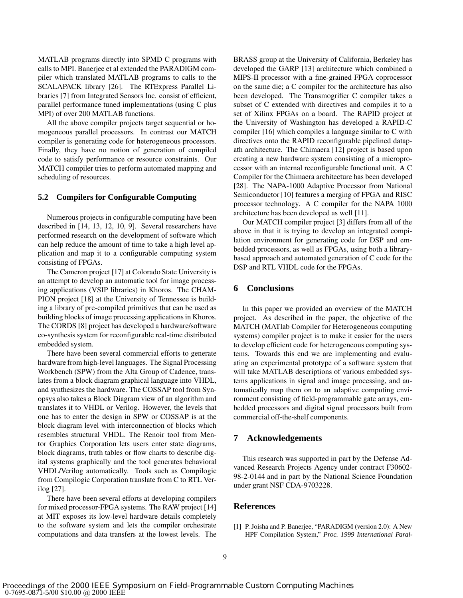MATLAB programs directly into SPMD C programs with calls to MPI. Banerjee et al extended the PARADIGM compiler which translated MATLAB programs to calls to the SCALAPACK library [26]. The RTExpress Parallel Libraries [7] from Integrated Sensors Inc. consist of efficient, parallel performance tuned implementations (using C plus MPI) of over 200 MATLAB functions.

All the above compiler projects target sequential or homogeneous parallel processors. In contrast our MATCH compiler is generating code for heterogeneous processors. Finally, they have no notion of generation of compiled code to satisfy performance or resource constraints. Our MATCH compiler tries to perform automated mapping and scheduling of resources.

### **5.2 Compilers for Configurable Computing**

Numerous projects in configurable computing have been described in [14, 13, 12, 10, 9]. Several researchers have performed research on the development of software which can help reduce the amount of time to take a high level application and map it to a configurable computing system consisting of FPGAs.

The Cameron project [17] at Colorado State University is an attempt to develop an automatic tool for image processing applications (VSIP libraries) in Khoros. The CHAM-PION project [18] at the University of Tennessee is building a library of pre-compiled primitives that can be used as building blocks of image processing applications in Khoros. The CORDS [8] project has developed a hardware/software co-synthesis system for reconfigurable real-time distributed embedded system.

There have been several commercial efforts to generate hardware from high-level languages. The Signal Processing Workbench (SPW) from the Alta Group of Cadence, translates from a block diagram graphical language into VHDL, and synthesizes the hardware. The COSSAP tool from Synopsys also takes a Block Diagram view of an algorithm and translates it to VHDL or Verilog. However, the levels that one has to enter the design in SPW or COSSAP is at the block diagram level with interconnection of blocks which resembles structural VHDL. The Renoir tool from Mentor Graphics Corporation lets users enter state diagrams, block diagrams, truth tables or flow charts to describe digital systems graphically and the tool generates behavioral VHDL/Verilog automatically. Tools such as Compilogic from Compilogic Corporation translate from C to RTL Verilog [27].

There have been several efforts at developing compilers for mixed processor-FPGA systems. The RAW project [14] at MIT exposes its low-level hardware details completely to the software system and lets the compiler orchestrate computations and data transfers at the lowest levels. The

BRASS group at the University of California, Berkeley has developed the GARP [13] architecture which combined a MIPS-II processor with a fine-grained FPGA coprocessor on the same die; a C compiler for the architecture has also been developed. The Transmogrifier C compiler takes a subset of C extended with directives and compiles it to a set of Xilinx FPGAs on a board. The RAPID project at the University of Washington has developed a RAPID-C compiler [16] which compiles a language similar to C with directives onto the RAPID reconfigurable pipelined datapath architecture. The Chimaera [12] project is based upon creating a new hardware system consisting of a microprocessor with an internal reconfigurable functional unit. A C Compiler for the Chimaera architecture has been developed [28]. The NAPA-1000 Adaptive Processor from National Semiconductor [10] features a merging of FPGA and RISC processor technology. A C compiler for the NAPA 1000 architecture has been developed as well [11].

Our MATCH compiler project [3] differs from all of the above in that it is trying to develop an integrated compilation environment for generating code for DSP and embedded processors, as well as FPGAs, using both a librarybased approach and automated generation of C code for the DSP and RTL VHDL code for the FPGAs.

### **6 Conclusions**

In this paper we provided an overview of the MATCH project. As described in the paper, the objective of the MATCH (MATlab Compiler for Heterogeneous computing systems) compiler project is to make it easier for the users to develop efficient code for heterogeneous computing systems. Towards this end we are implementing and evaluating an experimental prototype of a software system that will take MATLAB descriptions of various embedded systems applications in signal and image processing, and automatically map them on to an adaptive computing environment consisting of field-programmable gate arrays, embedded processors and digital signal processors built from commercial off-the-shelf components.

### **7 Acknowledgements**

This research was supported in part by the Defense Advanced Research Projects Agency under contract F30602- 98-2-0144 and in part by the National Science Foundation under grant NSF CDA-9703228.

# **References**

[1] P. Joisha and P. Banerjee, "PARADIGM (version 2.0): A New HPF Compilation System," *Proc. 1999 International Paral-*